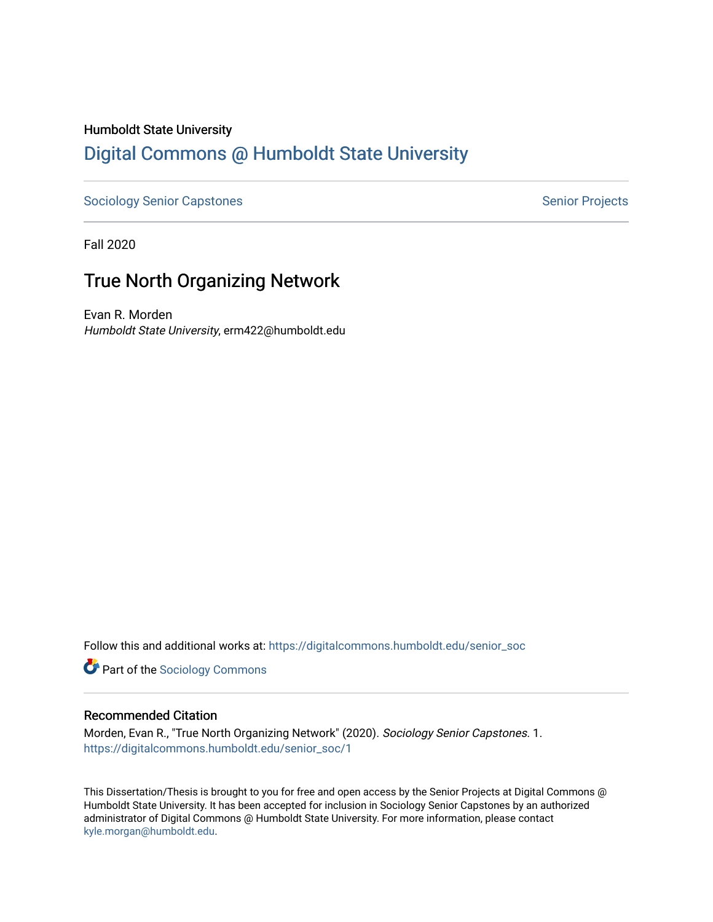# Humboldt State University [Digital Commons @ Humboldt State University](https://digitalcommons.humboldt.edu/)

[Sociology Senior Capstones](https://digitalcommons.humboldt.edu/senior_soc) Senior Projects

Fall 2020

# True North Organizing Network

Evan R. Morden Humboldt State University, erm422@humboldt.edu

Follow this and additional works at: [https://digitalcommons.humboldt.edu/senior\\_soc](https://digitalcommons.humboldt.edu/senior_soc?utm_source=digitalcommons.humboldt.edu%2Fsenior_soc%2F1&utm_medium=PDF&utm_campaign=PDFCoverPages) 

**Part of the [Sociology Commons](http://network.bepress.com/hgg/discipline/416?utm_source=digitalcommons.humboldt.edu%2Fsenior_soc%2F1&utm_medium=PDF&utm_campaign=PDFCoverPages)** 

## Recommended Citation

Morden, Evan R., "True North Organizing Network" (2020). Sociology Senior Capstones. 1. [https://digitalcommons.humboldt.edu/senior\\_soc/1](https://digitalcommons.humboldt.edu/senior_soc/1?utm_source=digitalcommons.humboldt.edu%2Fsenior_soc%2F1&utm_medium=PDF&utm_campaign=PDFCoverPages) 

This Dissertation/Thesis is brought to you for free and open access by the Senior Projects at Digital Commons @ Humboldt State University. It has been accepted for inclusion in Sociology Senior Capstones by an authorized administrator of Digital Commons @ Humboldt State University. For more information, please contact [kyle.morgan@humboldt.edu](mailto:kyle.morgan@humboldt.edu).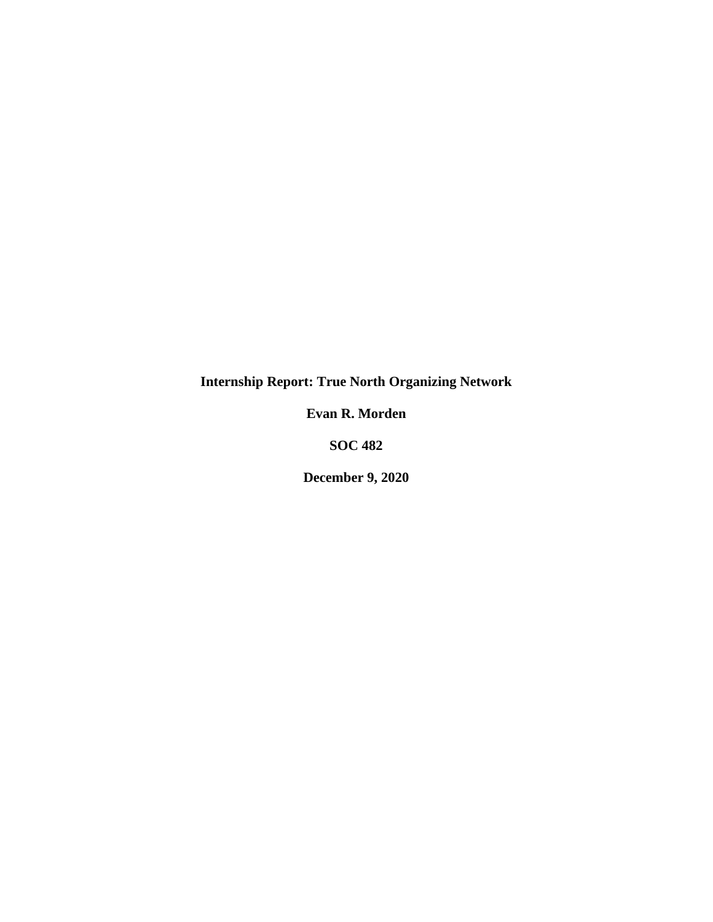**Internship Report: True North Organizing Network**

**Evan R. Morden**

**SOC 482**

**December 9, 2020**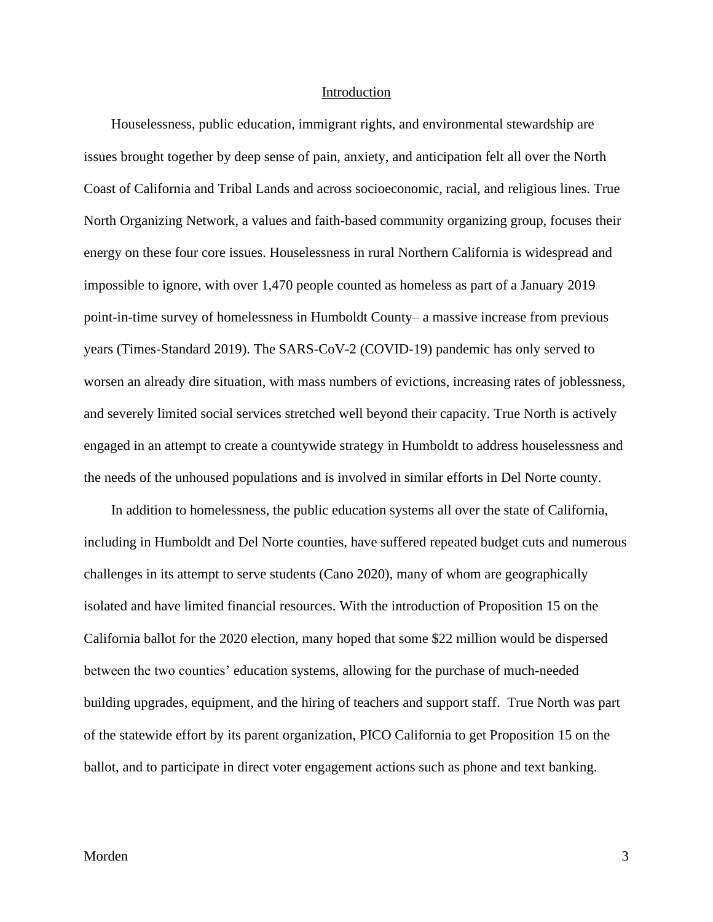#### Introduction

<span id="page-3-0"></span>Houselessness, public education, immigrant rights, and environmental stewardship are issues brought together by deep sense of pain, anxiety, and anticipation felt all over the North Coast of California and Tribal Lands and across socioeconomic, racial, and religious lines. True North Organizing Network, a values and faith-based community organizing group, focuses their energy on these four core issues. Houselessness in rural Northern California is widespread and impossible to ignore, with over 1,470 people counted as homeless as part of a January 2019 point-in-time survey of homelessness in Humboldt County– a massive increase from previous years (Times-Standard 2019). The SARS-CoV-2 (COVID-19) pandemic has only served to worsen an already dire situation, with mass numbers of evictions, increasing rates of joblessness, and severely limited social services stretched well beyond their capacity. True North is actively engaged in an attempt to create a countywide strategy in Humboldt to address houselessness and the needs of the unhoused populations and is involved in similar efforts in Del Norte county.

In addition to homelessness, the public education systems all over the state of California, including in Humboldt and Del Norte counties, have suffered repeated budget cuts and numerous challenges in its attempt to serve students (Cano 2020), many of whom are geographically isolated and have limited financial resources. With the introduction of Proposition 15 on the California ballot for the 2020 election, many hoped that some \$22 million would be dispersed between the two counties' education systems, allowing for the purchase of much-needed building upgrades, equipment, and the hiring of teachers and support staff. True North was part of the statewide effort by its parent organization, PICO California to get Proposition 15 on the ballot, and to participate in direct voter engagement actions such as phone and text banking.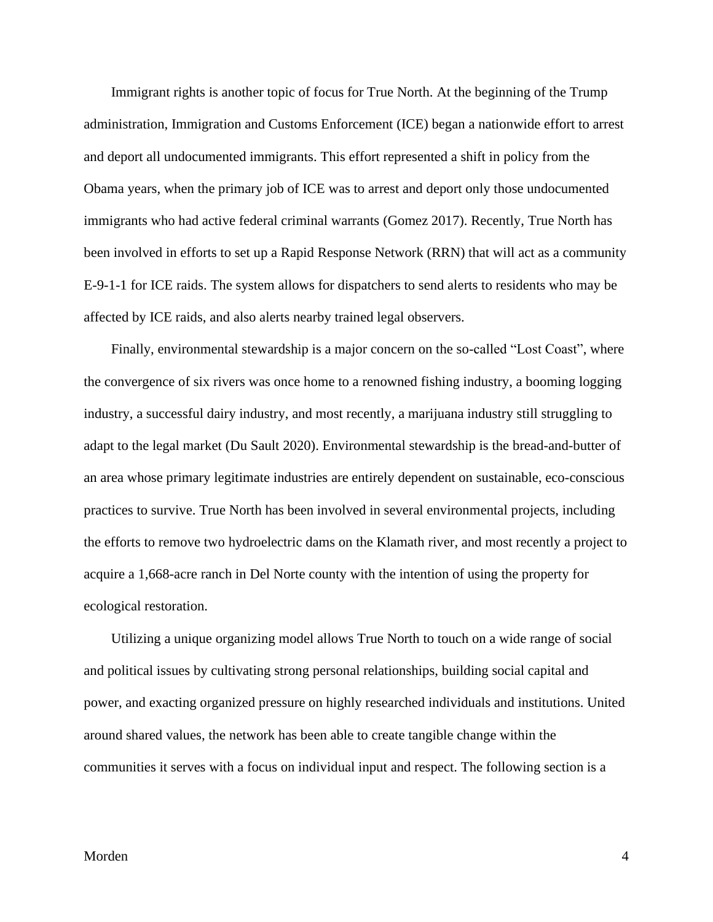Immigrant rights is another topic of focus for True North. At the beginning of the Trump administration, Immigration and Customs Enforcement (ICE) began a nationwide effort to arrest and deport all undocumented immigrants. This effort represented a shift in policy from the Obama years, when the primary job of ICE was to arrest and deport only those undocumented immigrants who had active federal criminal warrants (Gomez 2017). Recently, True North has been involved in efforts to set up a Rapid Response Network (RRN) that will act as a community E-9-1-1 for ICE raids. The system allows for dispatchers to send alerts to residents who may be affected by ICE raids, and also alerts nearby trained legal observers.

Finally, environmental stewardship is a major concern on the so-called "Lost Coast", where the convergence of six rivers was once home to a renowned fishing industry, a booming logging industry, a successful dairy industry, and most recently, a marijuana industry still struggling to adapt to the legal market (Du Sault 2020). Environmental stewardship is the bread-and-butter of an area whose primary legitimate industries are entirely dependent on sustainable, eco-conscious practices to survive. True North has been involved in several environmental projects, including the efforts to remove two hydroelectric dams on the Klamath river, and most recently a project to acquire a 1,668-acre ranch in Del Norte county with the intention of using the property for ecological restoration.

Utilizing a unique organizing model allows True North to touch on a wide range of social and political issues by cultivating strong personal relationships, building social capital and power, and exacting organized pressure on highly researched individuals and institutions. United around shared values, the network has been able to create tangible change within the communities it serves with a focus on individual input and respect. The following section is a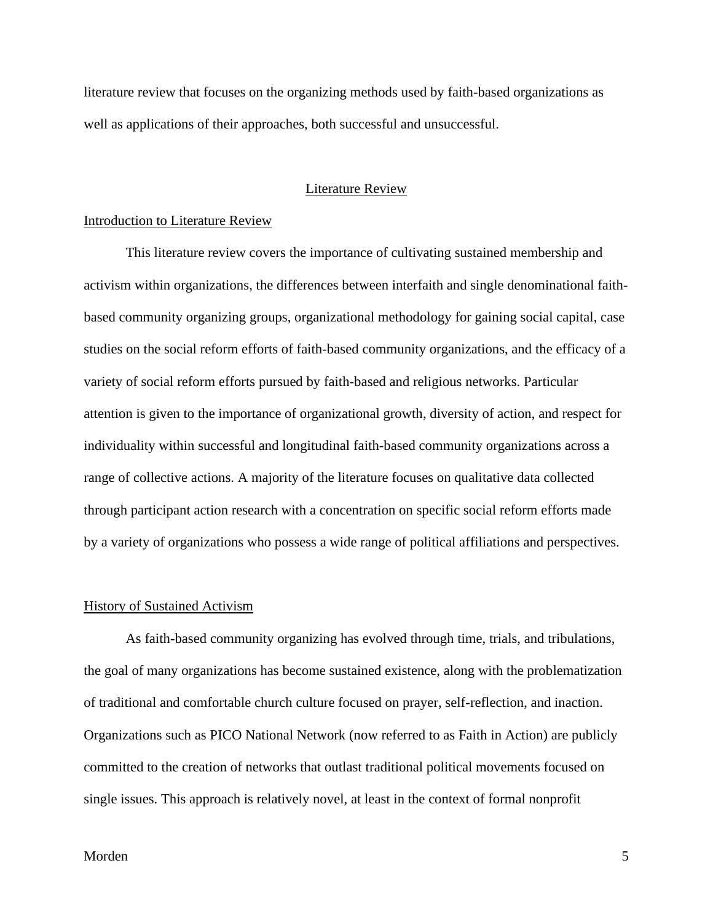literature review that focuses on the organizing methods used by faith-based organizations as well as applications of their approaches, both successful and unsuccessful.

# Literature Review

### <span id="page-5-1"></span><span id="page-5-0"></span>Introduction to Literature Review

This literature review covers the importance of cultivating sustained membership and activism within organizations, the differences between interfaith and single denominational faithbased community organizing groups, organizational methodology for gaining social capital, case studies on the social reform efforts of faith-based community organizations, and the efficacy of a variety of social reform efforts pursued by faith-based and religious networks. Particular attention is given to the importance of organizational growth, diversity of action, and respect for individuality within successful and longitudinal faith-based community organizations across a range of collective actions. A majority of the literature focuses on qualitative data collected through participant action research with a concentration on specific social reform efforts made by a variety of organizations who possess a wide range of political affiliations and perspectives.

### <span id="page-5-2"></span>History of Sustained Activism

As faith-based community organizing has evolved through time, trials, and tribulations, the goal of many organizations has become sustained existence, along with the problematization of traditional and comfortable church culture focused on prayer, self-reflection, and inaction. Organizations such as PICO National Network (now referred to as Faith in Action) are publicly committed to the creation of networks that outlast traditional political movements focused on single issues. This approach is relatively novel, at least in the context of formal nonprofit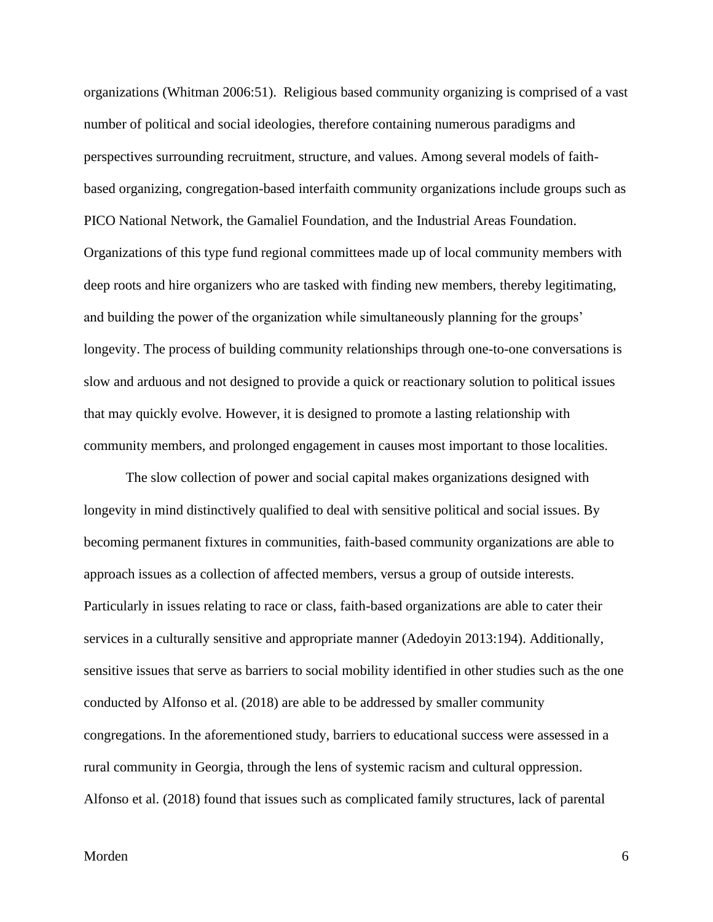organizations (Whitman 2006:51). Religious based community organizing is comprised of a vast number of political and social ideologies, therefore containing numerous paradigms and perspectives surrounding recruitment, structure, and values. Among several models of faithbased organizing, congregation-based interfaith community organizations include groups such as PICO National Network, the Gamaliel Foundation, and the Industrial Areas Foundation. Organizations of this type fund regional committees made up of local community members with deep roots and hire organizers who are tasked with finding new members, thereby legitimating, and building the power of the organization while simultaneously planning for the groups' longevity. The process of building community relationships through one-to-one conversations is slow and arduous and not designed to provide a quick or reactionary solution to political issues that may quickly evolve. However, it is designed to promote a lasting relationship with community members, and prolonged engagement in causes most important to those localities.

The slow collection of power and social capital makes organizations designed with longevity in mind distinctively qualified to deal with sensitive political and social issues. By becoming permanent fixtures in communities, faith-based community organizations are able to approach issues as a collection of affected members, versus a group of outside interests. Particularly in issues relating to race or class, faith-based organizations are able to cater their services in a culturally sensitive and appropriate manner (Adedoyin 2013:194). Additionally, sensitive issues that serve as barriers to social mobility identified in other studies such as the one conducted by Alfonso et al. (2018) are able to be addressed by smaller community congregations. In the aforementioned study, barriers to educational success were assessed in a rural community in Georgia, through the lens of systemic racism and cultural oppression. Alfonso et al. (2018) found that issues such as complicated family structures, lack of parental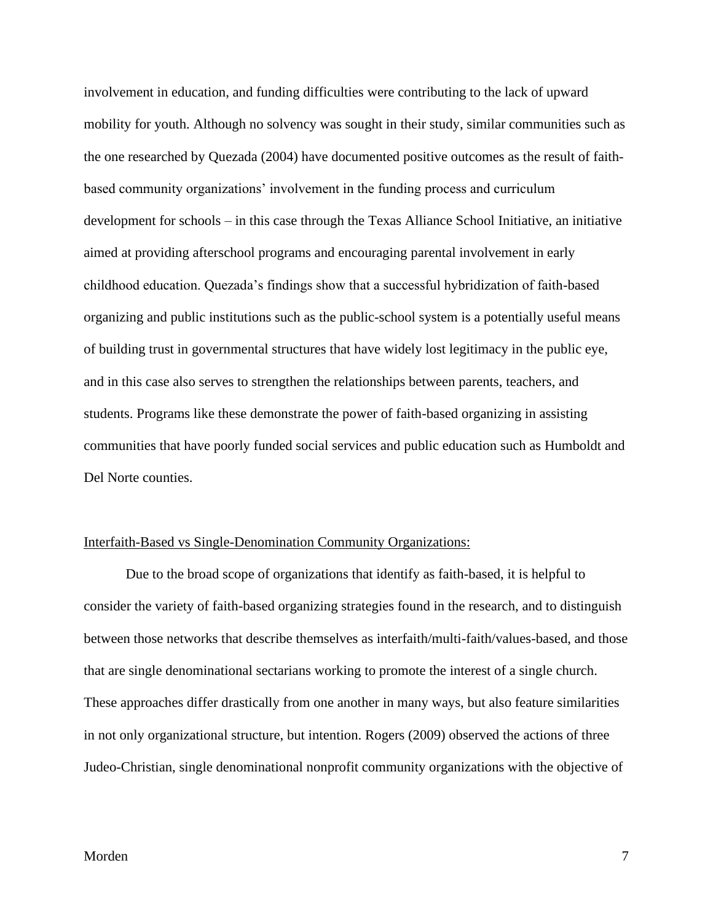involvement in education, and funding difficulties were contributing to the lack of upward mobility for youth. Although no solvency was sought in their study, similar communities such as the one researched by Quezada (2004) have documented positive outcomes as the result of faithbased community organizations' involvement in the funding process and curriculum development for schools – in this case through the Texas Alliance School Initiative, an initiative aimed at providing afterschool programs and encouraging parental involvement in early childhood education. Quezada's findings show that a successful hybridization of faith-based organizing and public institutions such as the public-school system is a potentially useful means of building trust in governmental structures that have widely lost legitimacy in the public eye, and in this case also serves to strengthen the relationships between parents, teachers, and students. Programs like these demonstrate the power of faith-based organizing in assisting communities that have poorly funded social services and public education such as Humboldt and Del Norte counties.

# <span id="page-7-0"></span>Interfaith-Based vs Single-Denomination Community Organizations:

Due to the broad scope of organizations that identify as faith-based, it is helpful to consider the variety of faith-based organizing strategies found in the research, and to distinguish between those networks that describe themselves as interfaith/multi-faith/values-based, and those that are single denominational sectarians working to promote the interest of a single church. These approaches differ drastically from one another in many ways, but also feature similarities in not only organizational structure, but intention. Rogers (2009) observed the actions of three Judeo-Christian, single denominational nonprofit community organizations with the objective of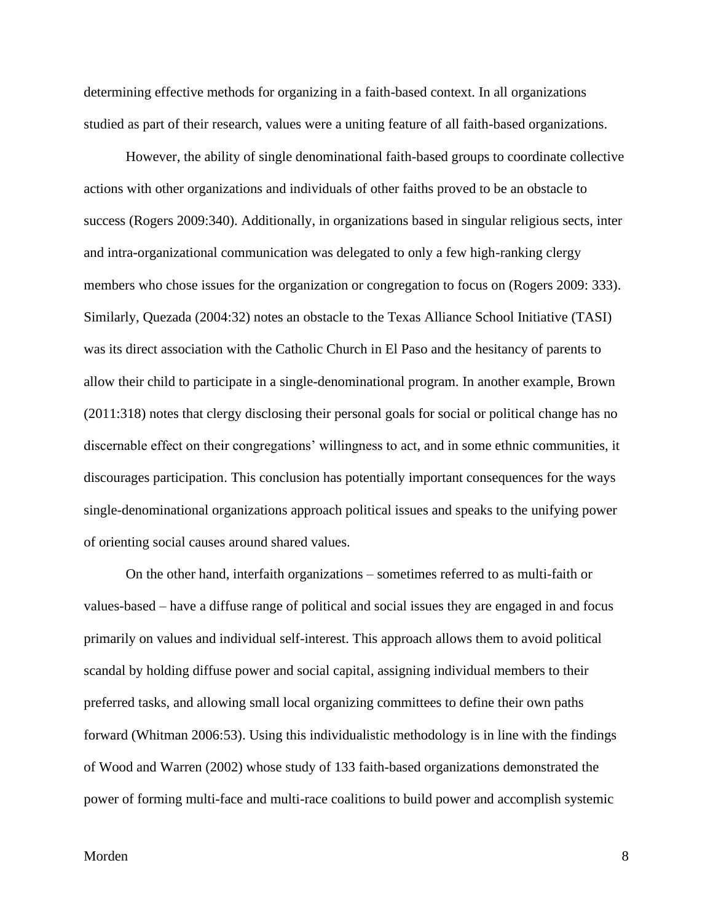determining effective methods for organizing in a faith-based context. In all organizations studied as part of their research, values were a uniting feature of all faith-based organizations.

However, the ability of single denominational faith-based groups to coordinate collective actions with other organizations and individuals of other faiths proved to be an obstacle to success (Rogers 2009:340). Additionally, in organizations based in singular religious sects, inter and intra-organizational communication was delegated to only a few high-ranking clergy members who chose issues for the organization or congregation to focus on (Rogers 2009: 333). Similarly, Quezada (2004:32) notes an obstacle to the Texas Alliance School Initiative (TASI) was its direct association with the Catholic Church in El Paso and the hesitancy of parents to allow their child to participate in a single-denominational program. In another example, Brown (2011:318) notes that clergy disclosing their personal goals for social or political change has no discernable effect on their congregations' willingness to act, and in some ethnic communities, it discourages participation. This conclusion has potentially important consequences for the ways single-denominational organizations approach political issues and speaks to the unifying power of orienting social causes around shared values.

On the other hand, interfaith organizations – sometimes referred to as multi-faith or values-based – have a diffuse range of political and social issues they are engaged in and focus primarily on values and individual self-interest. This approach allows them to avoid political scandal by holding diffuse power and social capital, assigning individual members to their preferred tasks, and allowing small local organizing committees to define their own paths forward (Whitman 2006:53). Using this individualistic methodology is in line with the findings of Wood and Warren (2002) whose study of 133 faith-based organizations demonstrated the power of forming multi-face and multi-race coalitions to build power and accomplish systemic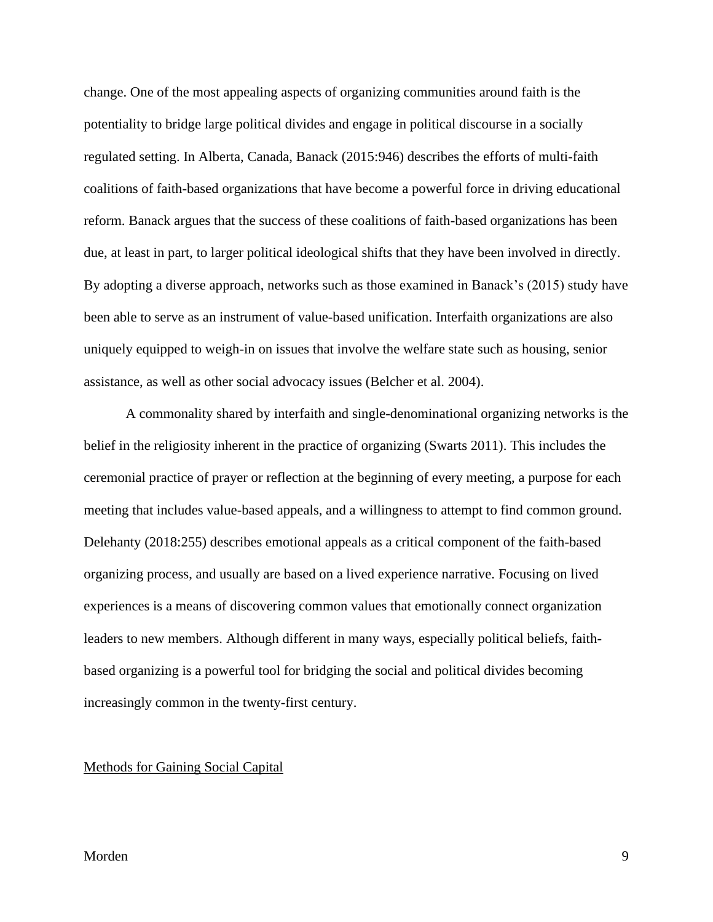change. One of the most appealing aspects of organizing communities around faith is the potentiality to bridge large political divides and engage in political discourse in a socially regulated setting. In Alberta, Canada, Banack (2015:946) describes the efforts of multi-faith coalitions of faith-based organizations that have become a powerful force in driving educational reform. Banack argues that the success of these coalitions of faith-based organizations has been due, at least in part, to larger political ideological shifts that they have been involved in directly. By adopting a diverse approach, networks such as those examined in Banack's (2015) study have been able to serve as an instrument of value-based unification. Interfaith organizations are also uniquely equipped to weigh-in on issues that involve the welfare state such as housing, senior assistance, as well as other social advocacy issues (Belcher et al. 2004).

A commonality shared by interfaith and single-denominational organizing networks is the belief in the religiosity inherent in the practice of organizing (Swarts 2011). This includes the ceremonial practice of prayer or reflection at the beginning of every meeting, a purpose for each meeting that includes value-based appeals, and a willingness to attempt to find common ground. Delehanty (2018:255) describes emotional appeals as a critical component of the faith-based organizing process, and usually are based on a lived experience narrative. Focusing on lived experiences is a means of discovering common values that emotionally connect organization leaders to new members. Although different in many ways, especially political beliefs, faithbased organizing is a powerful tool for bridging the social and political divides becoming increasingly common in the twenty-first century.

# <span id="page-9-0"></span>Methods for Gaining Social Capital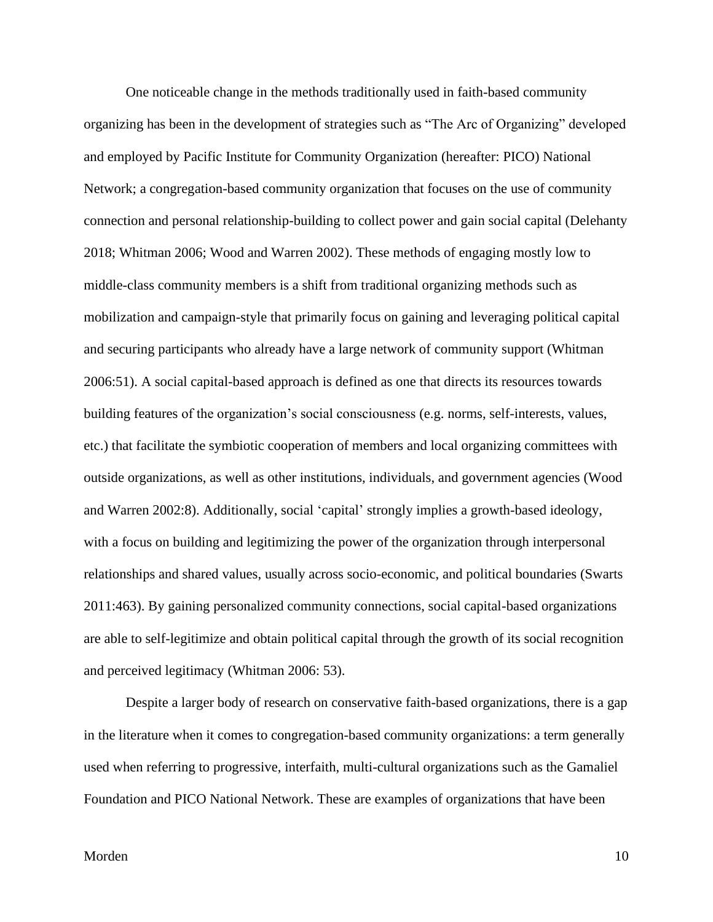One noticeable change in the methods traditionally used in faith-based community organizing has been in the development of strategies such as "The Arc of Organizing" developed and employed by Pacific Institute for Community Organization (hereafter: PICO) National Network; a congregation-based community organization that focuses on the use of community connection and personal relationship-building to collect power and gain social capital (Delehanty 2018; Whitman 2006; Wood and Warren 2002). These methods of engaging mostly low to middle-class community members is a shift from traditional organizing methods such as mobilization and campaign-style that primarily focus on gaining and leveraging political capital and securing participants who already have a large network of community support (Whitman 2006:51). A social capital-based approach is defined as one that directs its resources towards building features of the organization's social consciousness (e.g. norms, self-interests, values, etc.) that facilitate the symbiotic cooperation of members and local organizing committees with outside organizations, as well as other institutions, individuals, and government agencies (Wood and Warren 2002:8). Additionally, social 'capital' strongly implies a growth-based ideology, with a focus on building and legitimizing the power of the organization through interpersonal relationships and shared values, usually across socio-economic, and political boundaries (Swarts 2011:463). By gaining personalized community connections, social capital-based organizations are able to self-legitimize and obtain political capital through the growth of its social recognition and perceived legitimacy (Whitman 2006: 53).

Despite a larger body of research on conservative faith-based organizations, there is a gap in the literature when it comes to congregation-based community organizations: a term generally used when referring to progressive, interfaith, multi-cultural organizations such as the Gamaliel Foundation and PICO National Network. These are examples of organizations that have been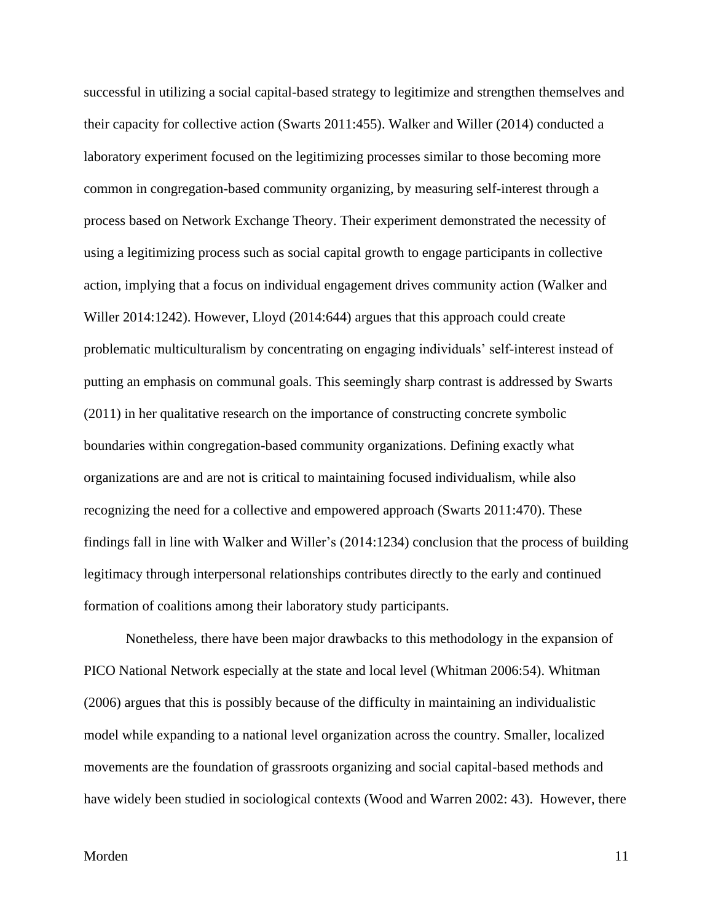successful in utilizing a social capital-based strategy to legitimize and strengthen themselves and their capacity for collective action (Swarts 2011:455). Walker and Willer (2014) conducted a laboratory experiment focused on the legitimizing processes similar to those becoming more common in congregation-based community organizing, by measuring self-interest through a process based on Network Exchange Theory. Their experiment demonstrated the necessity of using a legitimizing process such as social capital growth to engage participants in collective action, implying that a focus on individual engagement drives community action (Walker and Willer 2014:1242). However, Lloyd (2014:644) argues that this approach could create problematic multiculturalism by concentrating on engaging individuals' self-interest instead of putting an emphasis on communal goals. This seemingly sharp contrast is addressed by Swarts (2011) in her qualitative research on the importance of constructing concrete symbolic boundaries within congregation-based community organizations. Defining exactly what organizations are and are not is critical to maintaining focused individualism, while also recognizing the need for a collective and empowered approach (Swarts 2011:470). These findings fall in line with Walker and Willer's (2014:1234) conclusion that the process of building legitimacy through interpersonal relationships contributes directly to the early and continued formation of coalitions among their laboratory study participants.

Nonetheless, there have been major drawbacks to this methodology in the expansion of PICO National Network especially at the state and local level (Whitman 2006:54). Whitman (2006) argues that this is possibly because of the difficulty in maintaining an individualistic model while expanding to a national level organization across the country. Smaller, localized movements are the foundation of grassroots organizing and social capital-based methods and have widely been studied in sociological contexts (Wood and Warren 2002: 43). However, there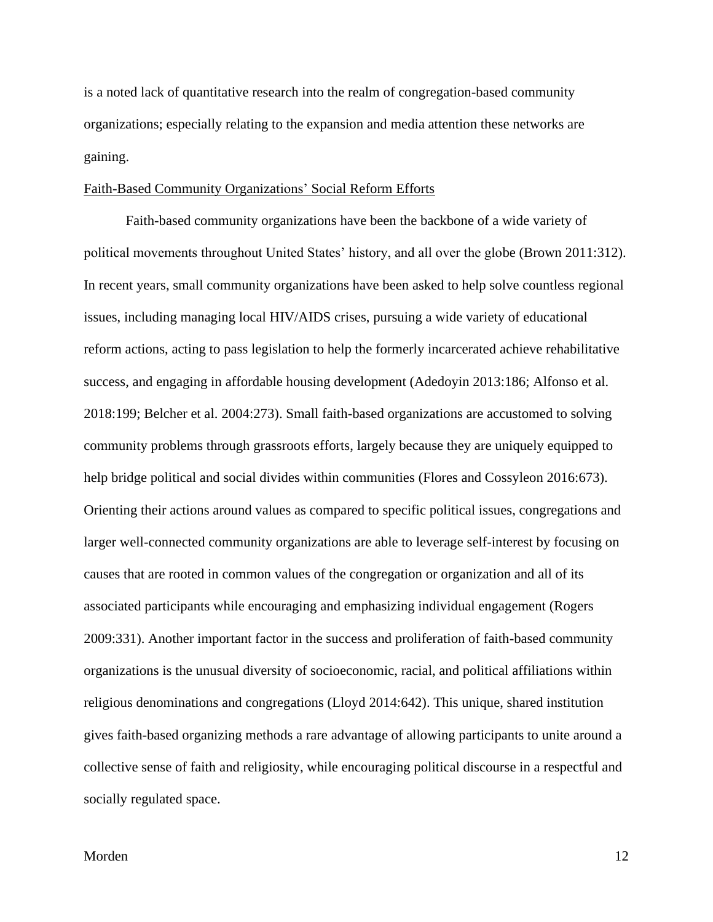is a noted lack of quantitative research into the realm of congregation-based community organizations; especially relating to the expansion and media attention these networks are gaining.

# <span id="page-12-0"></span>Faith-Based Community Organizations' Social Reform Efforts

Faith-based community organizations have been the backbone of a wide variety of political movements throughout United States' history, and all over the globe (Brown 2011:312). In recent years, small community organizations have been asked to help solve countless regional issues, including managing local HIV/AIDS crises, pursuing a wide variety of educational reform actions, acting to pass legislation to help the formerly incarcerated achieve rehabilitative success, and engaging in affordable housing development (Adedoyin 2013:186; Alfonso et al. 2018:199; Belcher et al. 2004:273). Small faith-based organizations are accustomed to solving community problems through grassroots efforts, largely because they are uniquely equipped to help bridge political and social divides within communities (Flores and Cossyleon 2016:673). Orienting their actions around values as compared to specific political issues, congregations and larger well-connected community organizations are able to leverage self-interest by focusing on causes that are rooted in common values of the congregation or organization and all of its associated participants while encouraging and emphasizing individual engagement (Rogers 2009:331). Another important factor in the success and proliferation of faith-based community organizations is the unusual diversity of socioeconomic, racial, and political affiliations within religious denominations and congregations (Lloyd 2014:642). This unique, shared institution gives faith-based organizing methods a rare advantage of allowing participants to unite around a collective sense of faith and religiosity, while encouraging political discourse in a respectful and socially regulated space.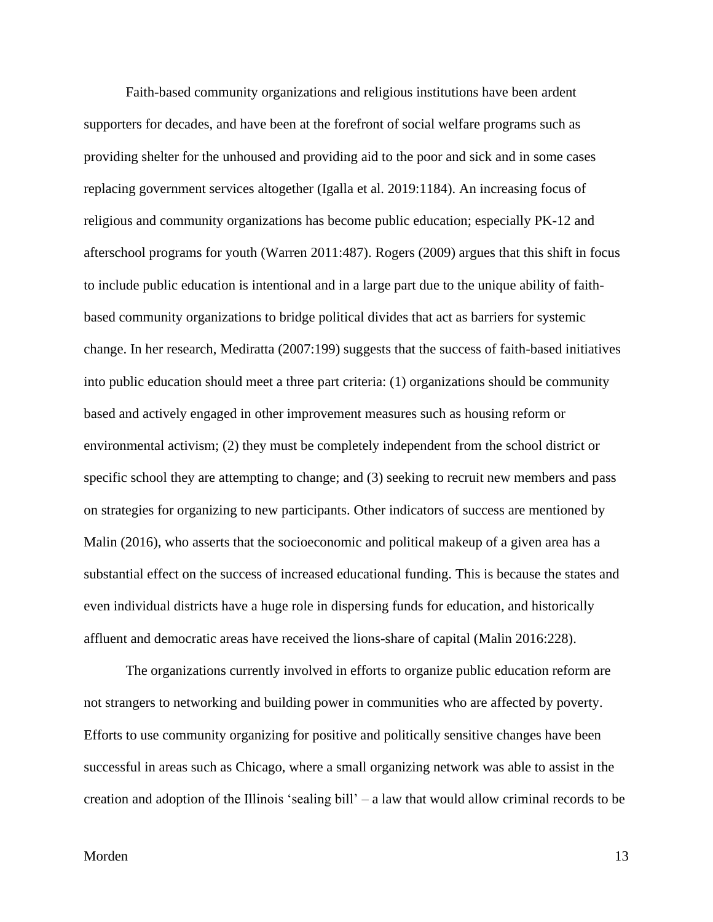Faith-based community organizations and religious institutions have been ardent supporters for decades, and have been at the forefront of social welfare programs such as providing shelter for the unhoused and providing aid to the poor and sick and in some cases replacing government services altogether (Igalla et al. 2019:1184). An increasing focus of religious and community organizations has become public education; especially PK-12 and afterschool programs for youth (Warren 2011:487). Rogers (2009) argues that this shift in focus to include public education is intentional and in a large part due to the unique ability of faithbased community organizations to bridge political divides that act as barriers for systemic change. In her research, Mediratta (2007:199) suggests that the success of faith-based initiatives into public education should meet a three part criteria: (1) organizations should be community based and actively engaged in other improvement measures such as housing reform or environmental activism; (2) they must be completely independent from the school district or specific school they are attempting to change; and (3) seeking to recruit new members and pass on strategies for organizing to new participants. Other indicators of success are mentioned by Malin (2016), who asserts that the socioeconomic and political makeup of a given area has a substantial effect on the success of increased educational funding. This is because the states and even individual districts have a huge role in dispersing funds for education, and historically affluent and democratic areas have received the lions-share of capital (Malin 2016:228).

The organizations currently involved in efforts to organize public education reform are not strangers to networking and building power in communities who are affected by poverty. Efforts to use community organizing for positive and politically sensitive changes have been successful in areas such as Chicago, where a small organizing network was able to assist in the creation and adoption of the Illinois 'sealing bill' – a law that would allow criminal records to be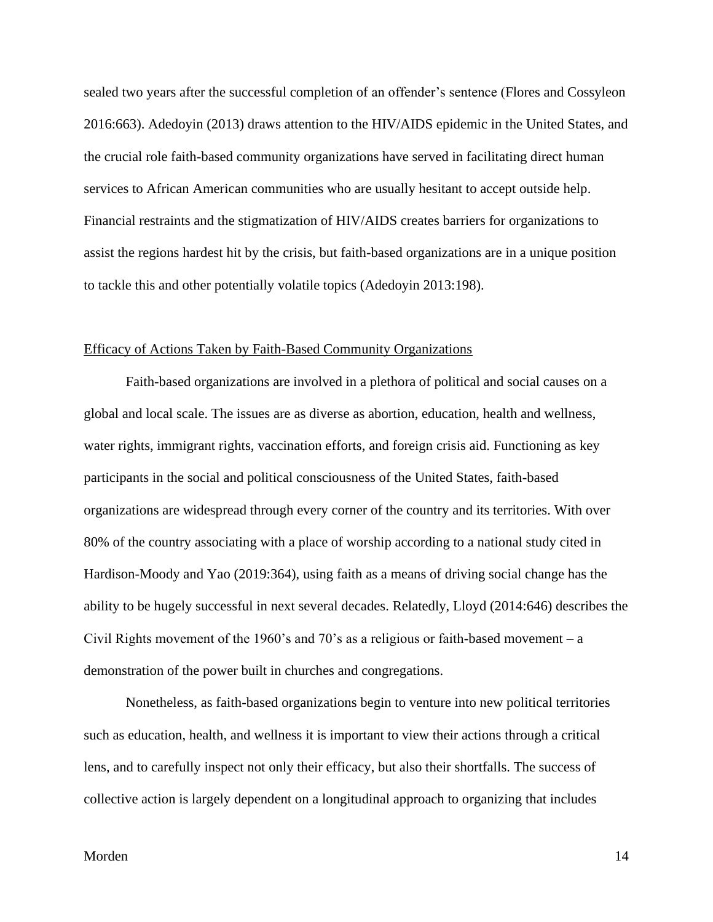sealed two years after the successful completion of an offender's sentence (Flores and Cossyleon 2016:663). Adedoyin (2013) draws attention to the HIV/AIDS epidemic in the United States, and the crucial role faith-based community organizations have served in facilitating direct human services to African American communities who are usually hesitant to accept outside help. Financial restraints and the stigmatization of HIV/AIDS creates barriers for organizations to assist the regions hardest hit by the crisis, but faith-based organizations are in a unique position to tackle this and other potentially volatile topics (Adedoyin 2013:198).

#### <span id="page-14-0"></span>Efficacy of Actions Taken by Faith-Based Community Organizations

Faith-based organizations are involved in a plethora of political and social causes on a global and local scale. The issues are as diverse as abortion, education, health and wellness, water rights, immigrant rights, vaccination efforts, and foreign crisis aid. Functioning as key participants in the social and political consciousness of the United States, faith-based organizations are widespread through every corner of the country and its territories. With over 80% of the country associating with a place of worship according to a national study cited in Hardison-Moody and Yao (2019:364), using faith as a means of driving social change has the ability to be hugely successful in next several decades. Relatedly, Lloyd (2014:646) describes the Civil Rights movement of the 1960's and 70's as a religious or faith-based movement – a demonstration of the power built in churches and congregations.

Nonetheless, as faith-based organizations begin to venture into new political territories such as education, health, and wellness it is important to view their actions through a critical lens, and to carefully inspect not only their efficacy, but also their shortfalls. The success of collective action is largely dependent on a longitudinal approach to organizing that includes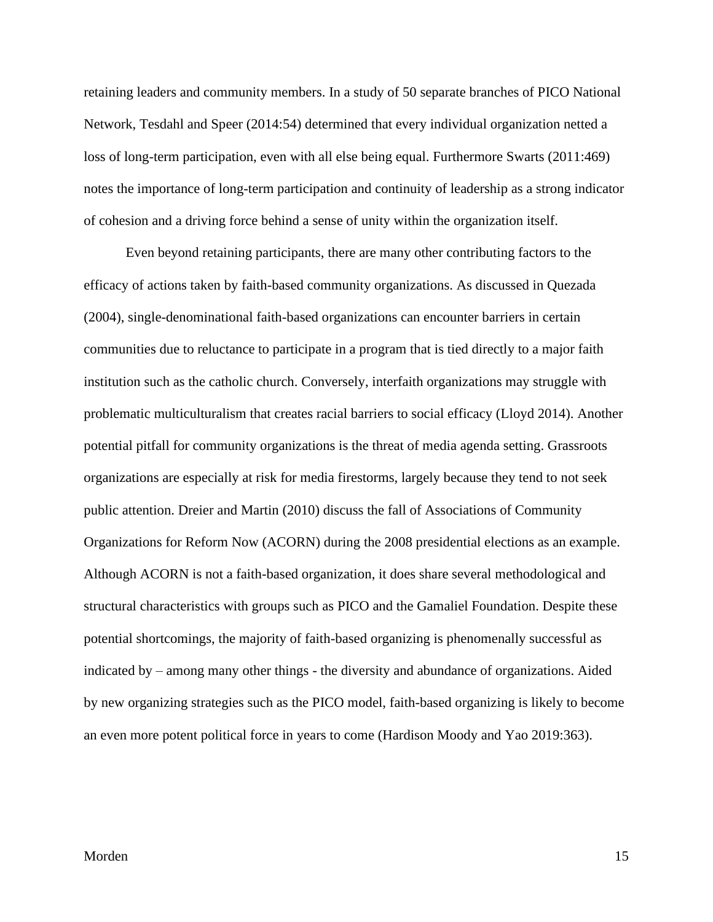retaining leaders and community members. In a study of 50 separate branches of PICO National Network, Tesdahl and Speer (2014:54) determined that every individual organization netted a loss of long-term participation, even with all else being equal. Furthermore Swarts (2011:469) notes the importance of long-term participation and continuity of leadership as a strong indicator of cohesion and a driving force behind a sense of unity within the organization itself.

Even beyond retaining participants, there are many other contributing factors to the efficacy of actions taken by faith-based community organizations. As discussed in Quezada (2004), single-denominational faith-based organizations can encounter barriers in certain communities due to reluctance to participate in a program that is tied directly to a major faith institution such as the catholic church. Conversely, interfaith organizations may struggle with problematic multiculturalism that creates racial barriers to social efficacy (Lloyd 2014). Another potential pitfall for community organizations is the threat of media agenda setting. Grassroots organizations are especially at risk for media firestorms, largely because they tend to not seek public attention. Dreier and Martin (2010) discuss the fall of Associations of Community Organizations for Reform Now (ACORN) during the 2008 presidential elections as an example. Although ACORN is not a faith-based organization, it does share several methodological and structural characteristics with groups such as PICO and the Gamaliel Foundation. Despite these potential shortcomings, the majority of faith-based organizing is phenomenally successful as indicated by – among many other things - the diversity and abundance of organizations. Aided by new organizing strategies such as the PICO model, faith-based organizing is likely to become an even more potent political force in years to come (Hardison Moody and Yao 2019:363).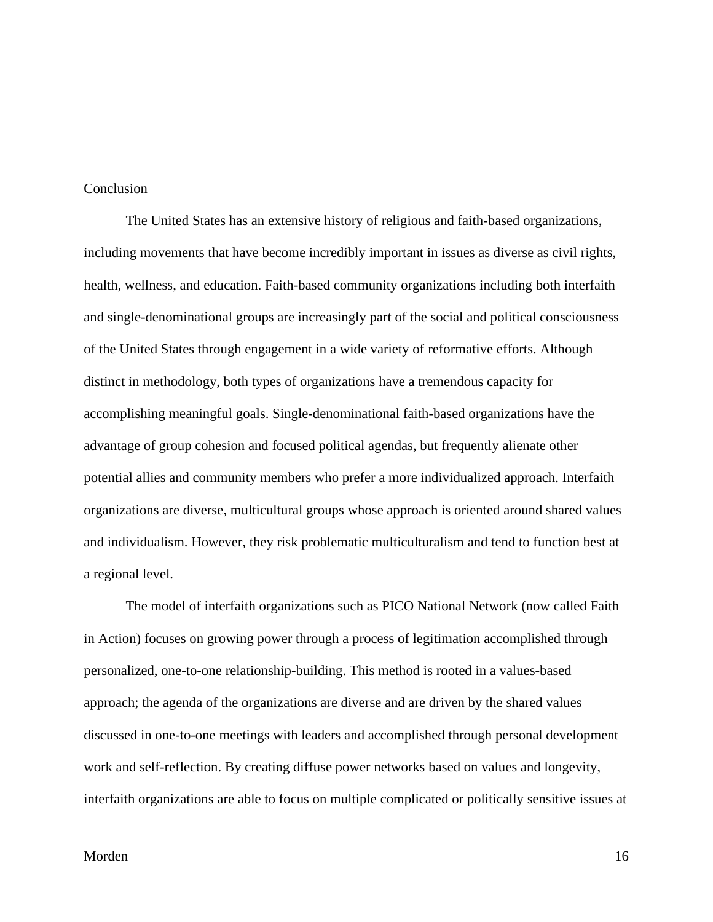### <span id="page-16-0"></span>Conclusion

The United States has an extensive history of religious and faith-based organizations, including movements that have become incredibly important in issues as diverse as civil rights, health, wellness, and education. Faith-based community organizations including both interfaith and single-denominational groups are increasingly part of the social and political consciousness of the United States through engagement in a wide variety of reformative efforts. Although distinct in methodology, both types of organizations have a tremendous capacity for accomplishing meaningful goals. Single-denominational faith-based organizations have the advantage of group cohesion and focused political agendas, but frequently alienate other potential allies and community members who prefer a more individualized approach. Interfaith organizations are diverse, multicultural groups whose approach is oriented around shared values and individualism. However, they risk problematic multiculturalism and tend to function best at a regional level.

The model of interfaith organizations such as PICO National Network (now called Faith in Action) focuses on growing power through a process of legitimation accomplished through personalized, one-to-one relationship-building. This method is rooted in a values-based approach; the agenda of the organizations are diverse and are driven by the shared values discussed in one-to-one meetings with leaders and accomplished through personal development work and self-reflection. By creating diffuse power networks based on values and longevity, interfaith organizations are able to focus on multiple complicated or politically sensitive issues at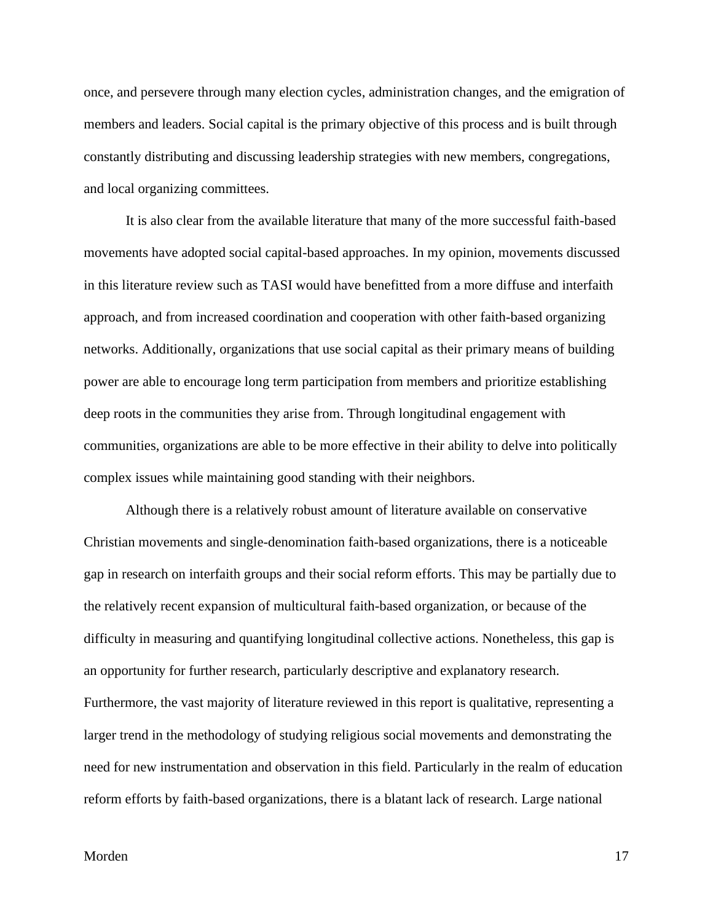once, and persevere through many election cycles, administration changes, and the emigration of members and leaders. Social capital is the primary objective of this process and is built through constantly distributing and discussing leadership strategies with new members, congregations, and local organizing committees.

It is also clear from the available literature that many of the more successful faith-based movements have adopted social capital-based approaches. In my opinion, movements discussed in this literature review such as TASI would have benefitted from a more diffuse and interfaith approach, and from increased coordination and cooperation with other faith-based organizing networks. Additionally, organizations that use social capital as their primary means of building power are able to encourage long term participation from members and prioritize establishing deep roots in the communities they arise from. Through longitudinal engagement with communities, organizations are able to be more effective in their ability to delve into politically complex issues while maintaining good standing with their neighbors.

Although there is a relatively robust amount of literature available on conservative Christian movements and single-denomination faith-based organizations, there is a noticeable gap in research on interfaith groups and their social reform efforts. This may be partially due to the relatively recent expansion of multicultural faith-based organization, or because of the difficulty in measuring and quantifying longitudinal collective actions. Nonetheless, this gap is an opportunity for further research, particularly descriptive and explanatory research. Furthermore, the vast majority of literature reviewed in this report is qualitative, representing a larger trend in the methodology of studying religious social movements and demonstrating the need for new instrumentation and observation in this field. Particularly in the realm of education reform efforts by faith-based organizations, there is a blatant lack of research. Large national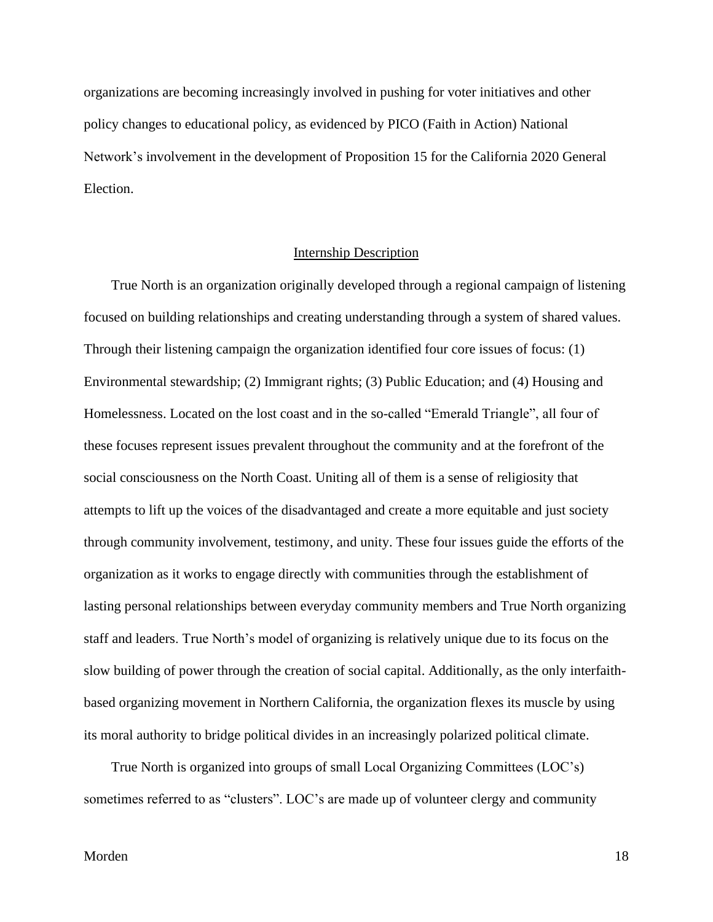organizations are becoming increasingly involved in pushing for voter initiatives and other policy changes to educational policy, as evidenced by PICO (Faith in Action) National Network's involvement in the development of Proposition 15 for the California 2020 General Election.

# Internship Description

<span id="page-18-0"></span>True North is an organization originally developed through a regional campaign of listening focused on building relationships and creating understanding through a system of shared values. Through their listening campaign the organization identified four core issues of focus: (1) Environmental stewardship; (2) Immigrant rights; (3) Public Education; and (4) Housing and Homelessness. Located on the lost coast and in the so-called "Emerald Triangle", all four of these focuses represent issues prevalent throughout the community and at the forefront of the social consciousness on the North Coast. Uniting all of them is a sense of religiosity that attempts to lift up the voices of the disadvantaged and create a more equitable and just society through community involvement, testimony, and unity. These four issues guide the efforts of the organization as it works to engage directly with communities through the establishment of lasting personal relationships between everyday community members and True North organizing staff and leaders. True North's model of organizing is relatively unique due to its focus on the slow building of power through the creation of social capital. Additionally, as the only interfaithbased organizing movement in Northern California, the organization flexes its muscle by using its moral authority to bridge political divides in an increasingly polarized political climate.

True North is organized into groups of small Local Organizing Committees (LOC's) sometimes referred to as "clusters". LOC's are made up of volunteer clergy and community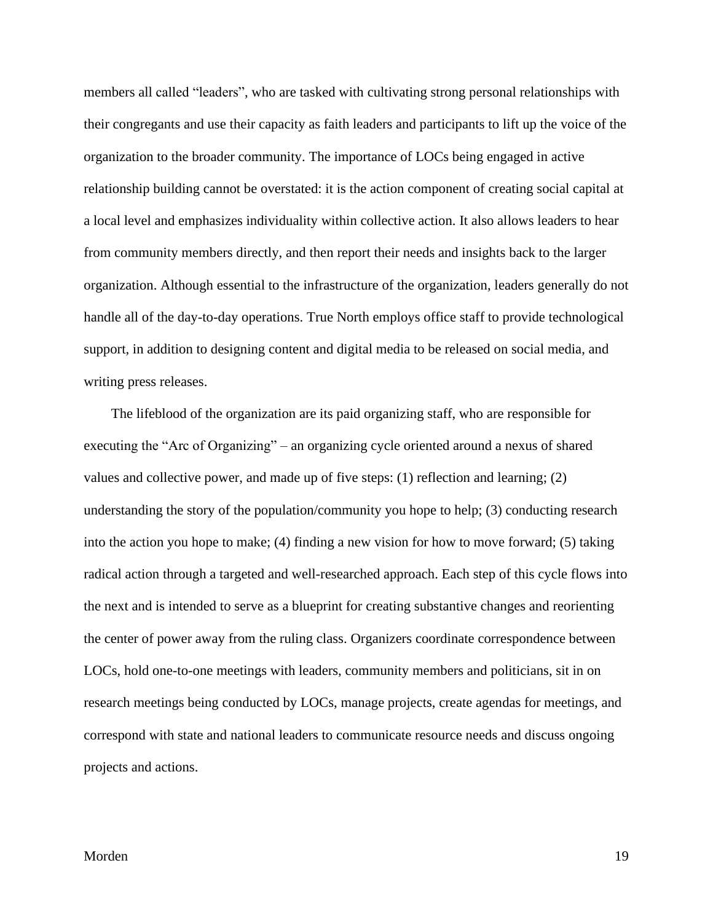members all called "leaders", who are tasked with cultivating strong personal relationships with their congregants and use their capacity as faith leaders and participants to lift up the voice of the organization to the broader community. The importance of LOCs being engaged in active relationship building cannot be overstated: it is the action component of creating social capital at a local level and emphasizes individuality within collective action. It also allows leaders to hear from community members directly, and then report their needs and insights back to the larger organization. Although essential to the infrastructure of the organization, leaders generally do not handle all of the day-to-day operations. True North employs office staff to provide technological support, in addition to designing content and digital media to be released on social media, and writing press releases.

The lifeblood of the organization are its paid organizing staff, who are responsible for executing the "Arc of Organizing" – an organizing cycle oriented around a nexus of shared values and collective power, and made up of five steps: (1) reflection and learning; (2) understanding the story of the population/community you hope to help; (3) conducting research into the action you hope to make; (4) finding a new vision for how to move forward; (5) taking radical action through a targeted and well-researched approach. Each step of this cycle flows into the next and is intended to serve as a blueprint for creating substantive changes and reorienting the center of power away from the ruling class. Organizers coordinate correspondence between LOCs, hold one-to-one meetings with leaders, community members and politicians, sit in on research meetings being conducted by LOCs, manage projects, create agendas for meetings, and correspond with state and national leaders to communicate resource needs and discuss ongoing projects and actions.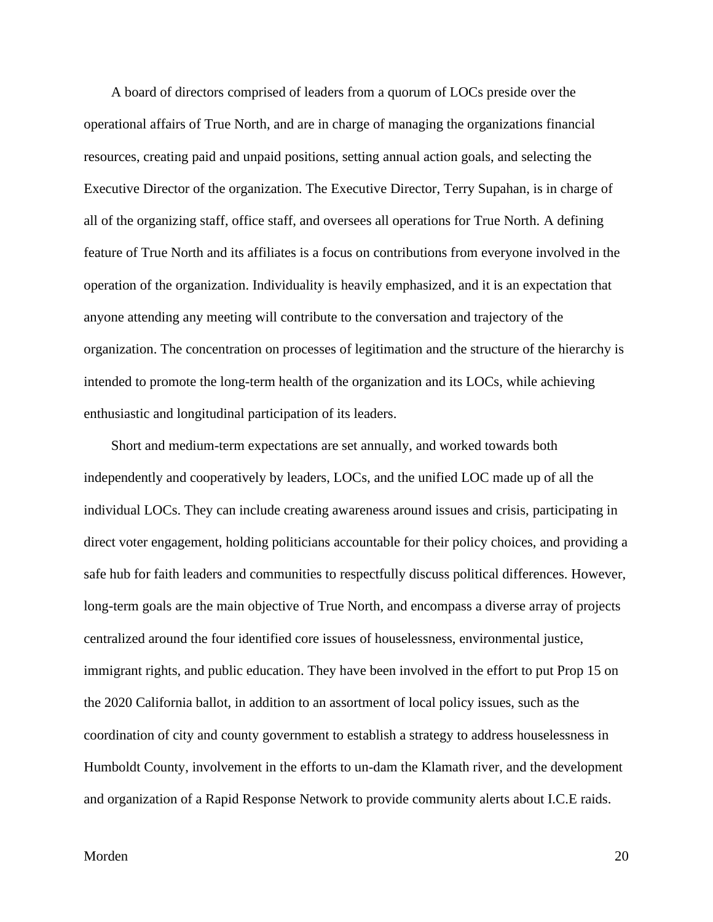A board of directors comprised of leaders from a quorum of LOCs preside over the operational affairs of True North, and are in charge of managing the organizations financial resources, creating paid and unpaid positions, setting annual action goals, and selecting the Executive Director of the organization. The Executive Director, Terry Supahan, is in charge of all of the organizing staff, office staff, and oversees all operations for True North. A defining feature of True North and its affiliates is a focus on contributions from everyone involved in the operation of the organization. Individuality is heavily emphasized, and it is an expectation that anyone attending any meeting will contribute to the conversation and trajectory of the organization. The concentration on processes of legitimation and the structure of the hierarchy is intended to promote the long-term health of the organization and its LOCs, while achieving enthusiastic and longitudinal participation of its leaders.

Short and medium-term expectations are set annually, and worked towards both independently and cooperatively by leaders, LOCs, and the unified LOC made up of all the individual LOCs. They can include creating awareness around issues and crisis, participating in direct voter engagement, holding politicians accountable for their policy choices, and providing a safe hub for faith leaders and communities to respectfully discuss political differences. However, long-term goals are the main objective of True North, and encompass a diverse array of projects centralized around the four identified core issues of houselessness, environmental justice, immigrant rights, and public education. They have been involved in the effort to put Prop 15 on the 2020 California ballot, in addition to an assortment of local policy issues, such as the coordination of city and county government to establish a strategy to address houselessness in Humboldt County, involvement in the efforts to un-dam the Klamath river, and the development and organization of a Rapid Response Network to provide community alerts about I.C.E raids.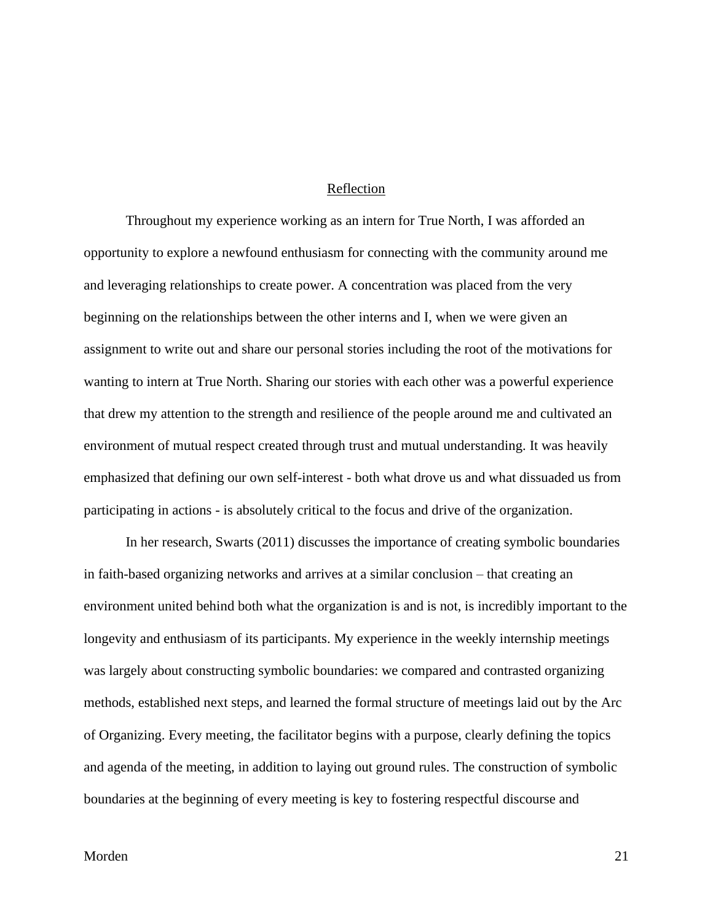## Reflection

<span id="page-21-0"></span>Throughout my experience working as an intern for True North, I was afforded an opportunity to explore a newfound enthusiasm for connecting with the community around me and leveraging relationships to create power. A concentration was placed from the very beginning on the relationships between the other interns and I, when we were given an assignment to write out and share our personal stories including the root of the motivations for wanting to intern at True North. Sharing our stories with each other was a powerful experience that drew my attention to the strength and resilience of the people around me and cultivated an environment of mutual respect created through trust and mutual understanding. It was heavily emphasized that defining our own self-interest - both what drove us and what dissuaded us from participating in actions - is absolutely critical to the focus and drive of the organization.

In her research, Swarts (2011) discusses the importance of creating symbolic boundaries in faith-based organizing networks and arrives at a similar conclusion – that creating an environment united behind both what the organization is and is not, is incredibly important to the longevity and enthusiasm of its participants. My experience in the weekly internship meetings was largely about constructing symbolic boundaries: we compared and contrasted organizing methods, established next steps, and learned the formal structure of meetings laid out by the Arc of Organizing. Every meeting, the facilitator begins with a purpose, clearly defining the topics and agenda of the meeting, in addition to laying out ground rules. The construction of symbolic boundaries at the beginning of every meeting is key to fostering respectful discourse and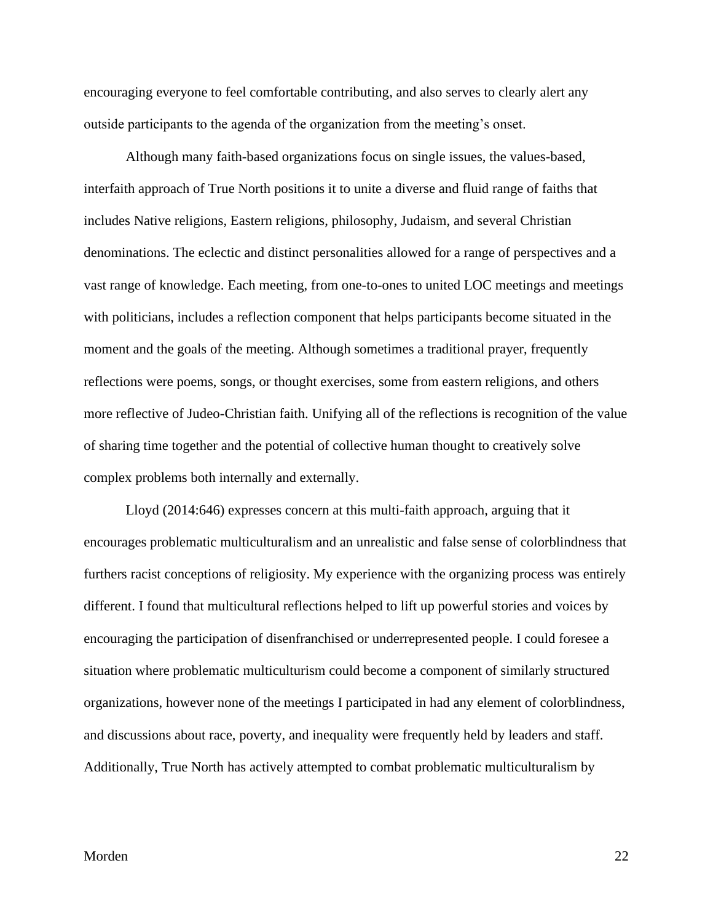encouraging everyone to feel comfortable contributing, and also serves to clearly alert any outside participants to the agenda of the organization from the meeting's onset.

Although many faith-based organizations focus on single issues, the values-based, interfaith approach of True North positions it to unite a diverse and fluid range of faiths that includes Native religions, Eastern religions, philosophy, Judaism, and several Christian denominations. The eclectic and distinct personalities allowed for a range of perspectives and a vast range of knowledge. Each meeting, from one-to-ones to united LOC meetings and meetings with politicians, includes a reflection component that helps participants become situated in the moment and the goals of the meeting. Although sometimes a traditional prayer, frequently reflections were poems, songs, or thought exercises, some from eastern religions, and others more reflective of Judeo-Christian faith. Unifying all of the reflections is recognition of the value of sharing time together and the potential of collective human thought to creatively solve complex problems both internally and externally.

Lloyd (2014:646) expresses concern at this multi-faith approach, arguing that it encourages problematic multiculturalism and an unrealistic and false sense of colorblindness that furthers racist conceptions of religiosity. My experience with the organizing process was entirely different. I found that multicultural reflections helped to lift up powerful stories and voices by encouraging the participation of disenfranchised or underrepresented people. I could foresee a situation where problematic multiculturism could become a component of similarly structured organizations, however none of the meetings I participated in had any element of colorblindness, and discussions about race, poverty, and inequality were frequently held by leaders and staff. Additionally, True North has actively attempted to combat problematic multiculturalism by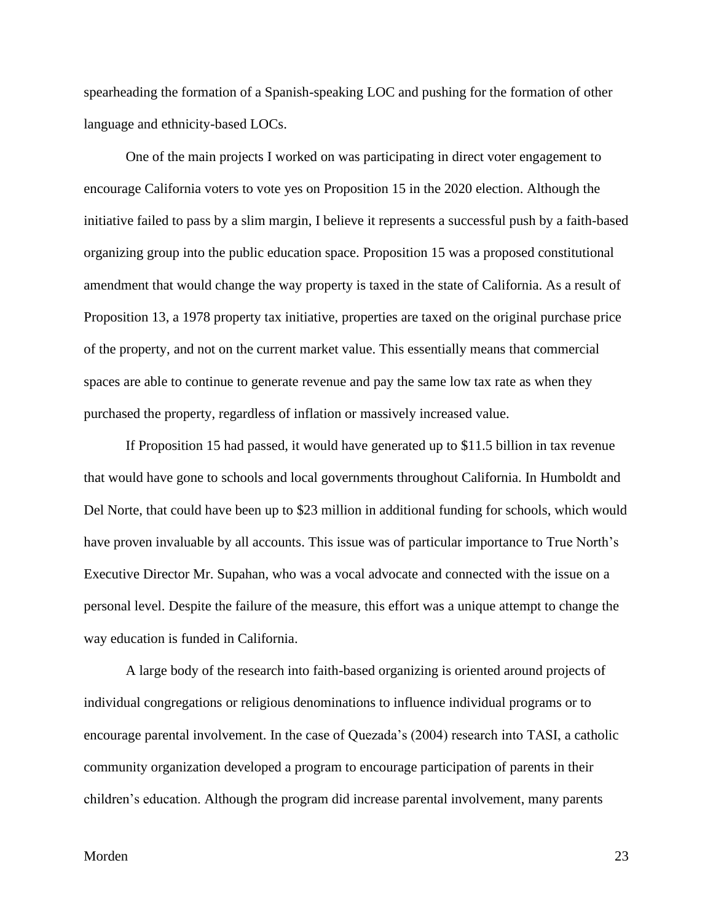spearheading the formation of a Spanish-speaking LOC and pushing for the formation of other language and ethnicity-based LOCs.

One of the main projects I worked on was participating in direct voter engagement to encourage California voters to vote yes on Proposition 15 in the 2020 election. Although the initiative failed to pass by a slim margin, I believe it represents a successful push by a faith-based organizing group into the public education space. Proposition 15 was a proposed constitutional amendment that would change the way property is taxed in the state of California. As a result of Proposition 13, a 1978 property tax initiative, properties are taxed on the original purchase price of the property, and not on the current market value. This essentially means that commercial spaces are able to continue to generate revenue and pay the same low tax rate as when they purchased the property, regardless of inflation or massively increased value.

If Proposition 15 had passed, it would have generated up to \$11.5 billion in tax revenue that would have gone to schools and local governments throughout California. In Humboldt and Del Norte, that could have been up to \$23 million in additional funding for schools, which would have proven invaluable by all accounts. This issue was of particular importance to True North's Executive Director Mr. Supahan, who was a vocal advocate and connected with the issue on a personal level. Despite the failure of the measure, this effort was a unique attempt to change the way education is funded in California.

A large body of the research into faith-based organizing is oriented around projects of individual congregations or religious denominations to influence individual programs or to encourage parental involvement. In the case of Quezada's (2004) research into TASI, a catholic community organization developed a program to encourage participation of parents in their children's education. Although the program did increase parental involvement, many parents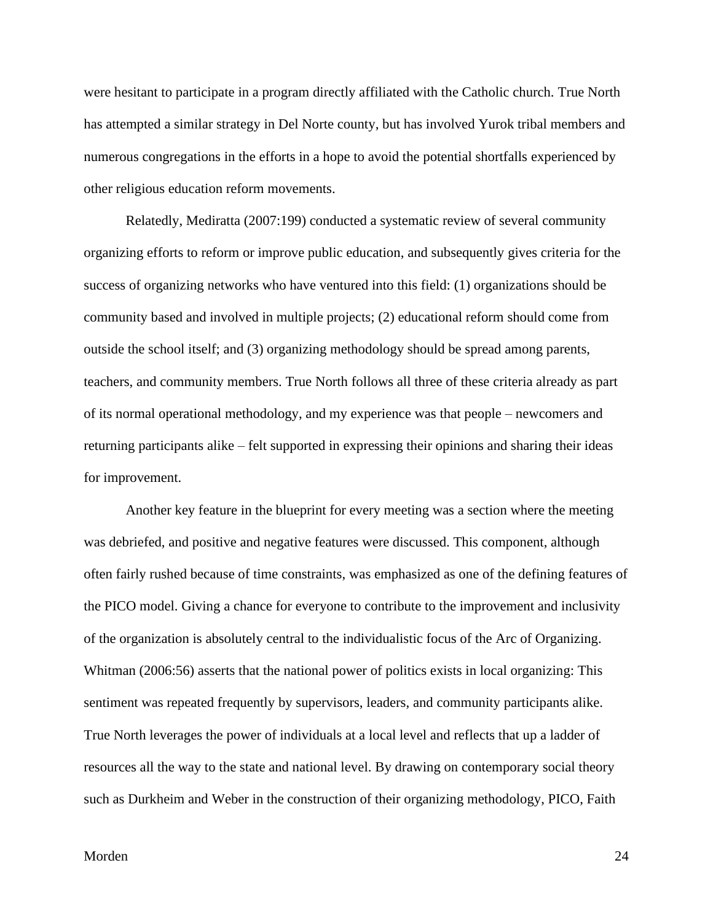were hesitant to participate in a program directly affiliated with the Catholic church. True North has attempted a similar strategy in Del Norte county, but has involved Yurok tribal members and numerous congregations in the efforts in a hope to avoid the potential shortfalls experienced by other religious education reform movements.

Relatedly, Mediratta (2007:199) conducted a systematic review of several community organizing efforts to reform or improve public education, and subsequently gives criteria for the success of organizing networks who have ventured into this field: (1) organizations should be community based and involved in multiple projects; (2) educational reform should come from outside the school itself; and (3) organizing methodology should be spread among parents, teachers, and community members. True North follows all three of these criteria already as part of its normal operational methodology, and my experience was that people – newcomers and returning participants alike – felt supported in expressing their opinions and sharing their ideas for improvement.

Another key feature in the blueprint for every meeting was a section where the meeting was debriefed, and positive and negative features were discussed. This component, although often fairly rushed because of time constraints, was emphasized as one of the defining features of the PICO model. Giving a chance for everyone to contribute to the improvement and inclusivity of the organization is absolutely central to the individualistic focus of the Arc of Organizing. Whitman (2006:56) asserts that the national power of politics exists in local organizing: This sentiment was repeated frequently by supervisors, leaders, and community participants alike. True North leverages the power of individuals at a local level and reflects that up a ladder of resources all the way to the state and national level. By drawing on contemporary social theory such as Durkheim and Weber in the construction of their organizing methodology, PICO, Faith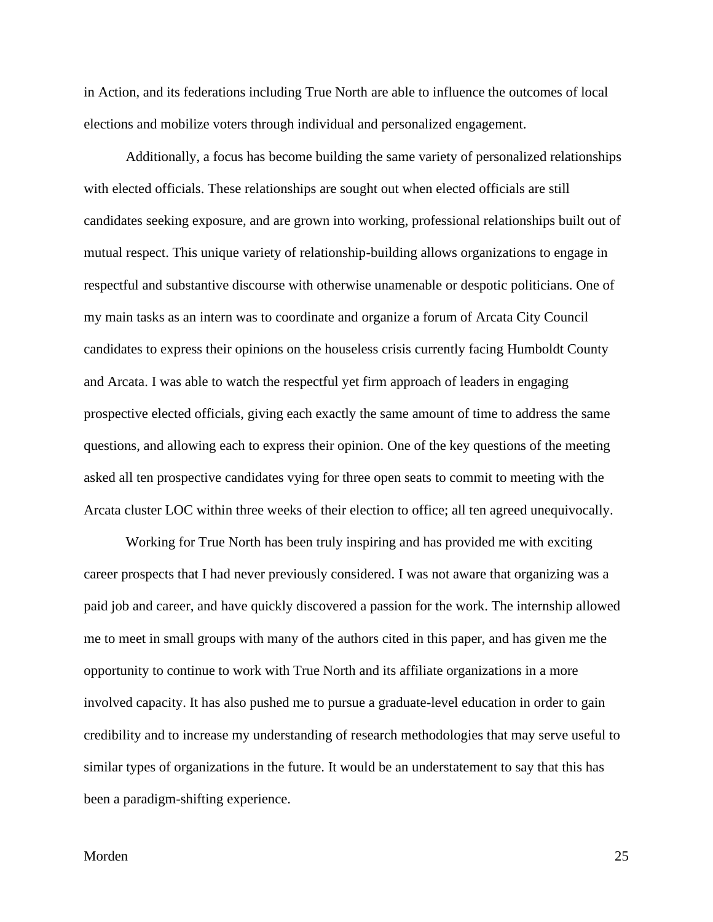in Action, and its federations including True North are able to influence the outcomes of local elections and mobilize voters through individual and personalized engagement.

Additionally, a focus has become building the same variety of personalized relationships with elected officials. These relationships are sought out when elected officials are still candidates seeking exposure, and are grown into working, professional relationships built out of mutual respect. This unique variety of relationship-building allows organizations to engage in respectful and substantive discourse with otherwise unamenable or despotic politicians. One of my main tasks as an intern was to coordinate and organize a forum of Arcata City Council candidates to express their opinions on the houseless crisis currently facing Humboldt County and Arcata. I was able to watch the respectful yet firm approach of leaders in engaging prospective elected officials, giving each exactly the same amount of time to address the same questions, and allowing each to express their opinion. One of the key questions of the meeting asked all ten prospective candidates vying for three open seats to commit to meeting with the Arcata cluster LOC within three weeks of their election to office; all ten agreed unequivocally.

Working for True North has been truly inspiring and has provided me with exciting career prospects that I had never previously considered. I was not aware that organizing was a paid job and career, and have quickly discovered a passion for the work. The internship allowed me to meet in small groups with many of the authors cited in this paper, and has given me the opportunity to continue to work with True North and its affiliate organizations in a more involved capacity. It has also pushed me to pursue a graduate-level education in order to gain credibility and to increase my understanding of research methodologies that may serve useful to similar types of organizations in the future. It would be an understatement to say that this has been a paradigm-shifting experience.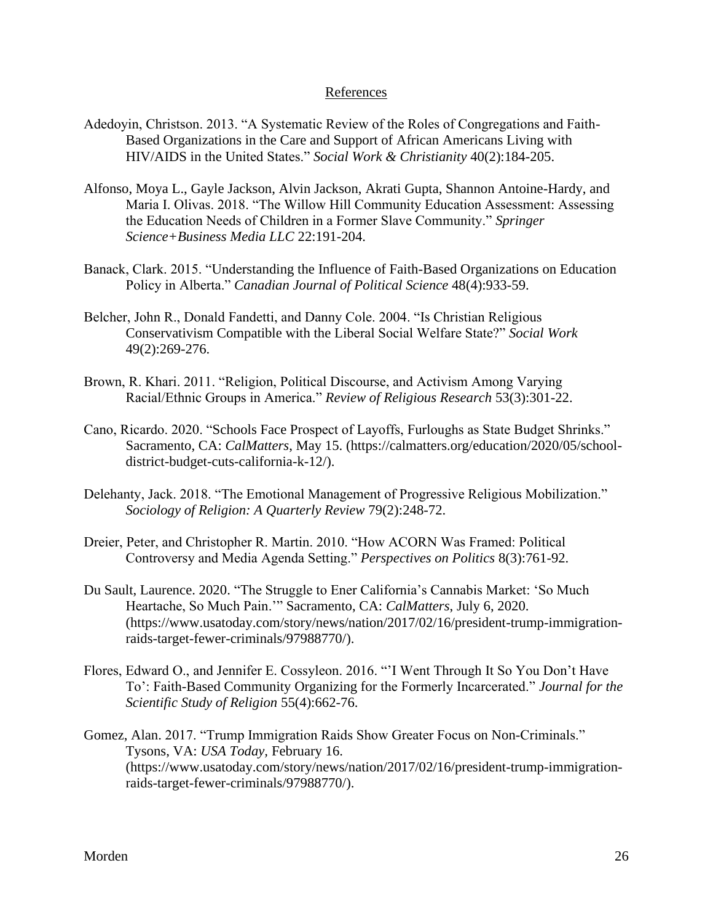# References

- <span id="page-26-0"></span>Adedoyin, Christson. 2013. "A Systematic Review of the Roles of Congregations and Faith-Based Organizations in the Care and Support of African Americans Living with HIV/AIDS in the United States." *Social Work & Christianity* 40(2):184-205.
- Alfonso, Moya L., Gayle Jackson, Alvin Jackson, Akrati Gupta, Shannon Antoine-Hardy, and Maria I. Olivas. 2018. "The Willow Hill Community Education Assessment: Assessing the Education Needs of Children in a Former Slave Community." *Springer Science+Business Media LLC* 22:191-204.
- Banack, Clark. 2015. "Understanding the Influence of Faith-Based Organizations on Education Policy in Alberta." *Canadian Journal of Political Science* 48(4):933-59.
- Belcher, John R., Donald Fandetti, and Danny Cole. 2004. "Is Christian Religious Conservativism Compatible with the Liberal Social Welfare State?" *Social Work*  49(2):269-276.
- Brown, R. Khari. 2011. "Religion, Political Discourse, and Activism Among Varying Racial/Ethnic Groups in America." *Review of Religious Research* 53(3):301-22.
- Cano, Ricardo. 2020. "Schools Face Prospect of Layoffs, Furloughs as State Budget Shrinks." Sacramento, CA: *CalMatters*, May 15. (https://calmatters.org/education/2020/05/schooldistrict-budget-cuts-california-k-12/).
- Delehanty, Jack. 2018. "The Emotional Management of Progressive Religious Mobilization." *Sociology of Religion: A Quarterly Review* 79(2):248-72.
- Dreier, Peter, and Christopher R. Martin. 2010. "How ACORN Was Framed: Political Controversy and Media Agenda Setting." *Perspectives on Politics* 8(3):761-92.
- Du Sault, Laurence. 2020. "The Struggle to Ener California's Cannabis Market: 'So Much Heartache, So Much Pain.'" Sacramento, CA: *CalMatters*, July 6, 2020. (https://www.usatoday.com/story/news/nation/2017/02/16/president-trump-immigrationraids-target-fewer-criminals/97988770/).
- Flores, Edward O., and Jennifer E. Cossyleon. 2016. "'I Went Through It So You Don't Have To': Faith-Based Community Organizing for the Formerly Incarcerated." *Journal for the Scientific Study of Religion* 55(4):662-76.
- Gomez, Alan. 2017. "Trump Immigration Raids Show Greater Focus on Non-Criminals." Tysons, VA: *USA Today,* February 16. (https://www.usatoday.com/story/news/nation/2017/02/16/president-trump-immigrationraids-target-fewer-criminals/97988770/).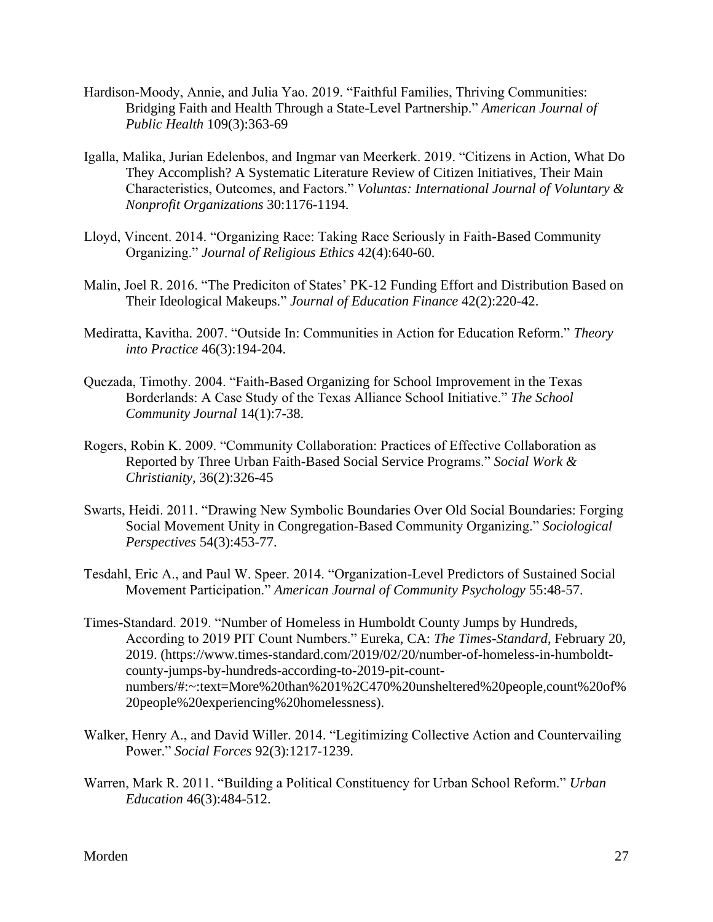- Hardison-Moody, Annie, and Julia Yao. 2019. "Faithful Families, Thriving Communities: Bridging Faith and Health Through a State-Level Partnership." *American Journal of Public Health* 109(3):363-69
- Igalla, Malika, Jurian Edelenbos, and Ingmar van Meerkerk. 2019. "Citizens in Action, What Do They Accomplish? A Systematic Literature Review of Citizen Initiatives, Their Main Characteristics, Outcomes, and Factors." *Voluntas: International Journal of Voluntary & Nonprofit Organizations* 30:1176-1194.
- Lloyd, Vincent. 2014. "Organizing Race: Taking Race Seriously in Faith-Based Community Organizing." *Journal of Religious Ethics* 42(4):640-60.
- Malin, Joel R. 2016. "The Prediciton of States' PK-12 Funding Effort and Distribution Based on Their Ideological Makeups." *Journal of Education Finance* 42(2):220-42.
- Mediratta, Kavitha. 2007. "Outside In: Communities in Action for Education Reform." *Theory into Practice* 46(3):194-204.
- Quezada, Timothy. 2004. "Faith-Based Organizing for School Improvement in the Texas Borderlands: A Case Study of the Texas Alliance School Initiative." *The School Community Journal* 14(1):7-38.
- Rogers, Robin K. 2009. "Community Collaboration: Practices of Effective Collaboration as Reported by Three Urban Faith-Based Social Service Programs." *Social Work & Christianity,* 36(2):326-45
- Swarts, Heidi. 2011. "Drawing New Symbolic Boundaries Over Old Social Boundaries: Forging Social Movement Unity in Congregation-Based Community Organizing." *Sociological Perspectives* 54(3):453-77.
- Tesdahl, Eric A., and Paul W. Speer. 2014. "Organization-Level Predictors of Sustained Social Movement Participation." *American Journal of Community Psychology* 55:48-57.
- Times-Standard. 2019. "Number of Homeless in Humboldt County Jumps by Hundreds, According to 2019 PIT Count Numbers." Eureka, CA: *The Times-Standard*, February 20, 2019. (https://www.times-standard.com/2019/02/20/number-of-homeless-in-humboldtcounty-jumps-by-hundreds-according-to-2019-pit-countnumbers/#:~:text=More%20than%201%2C470%20unsheltered%20people,count%20of% 20people%20experiencing%20homelessness).
- Walker, Henry A., and David Willer. 2014. "Legitimizing Collective Action and Countervailing Power." *Social Forces* 92(3):1217-1239.
- Warren, Mark R. 2011. "Building a Political Constituency for Urban School Reform." *Urban Education* 46(3):484-512.